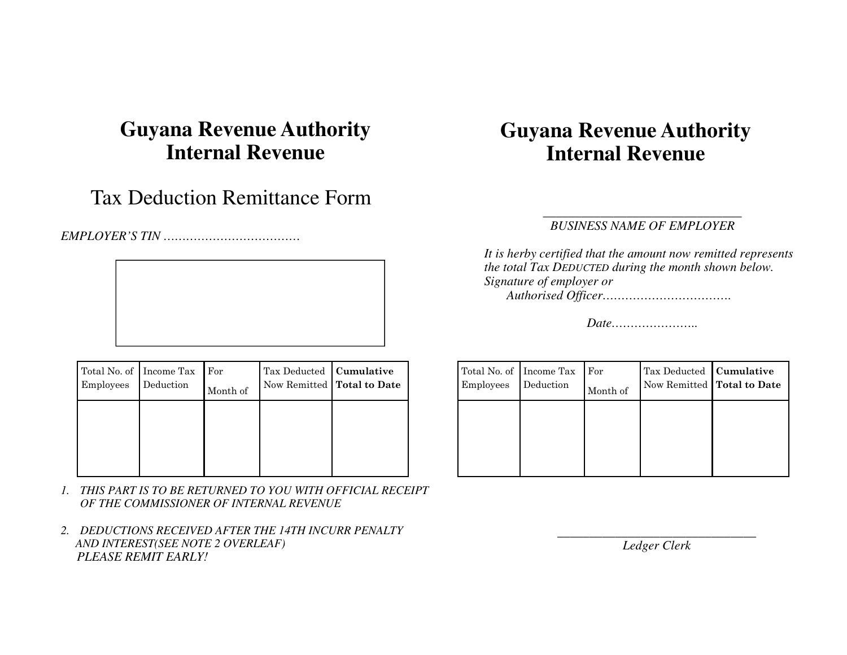# **Guyana Revenue Authority Internal Revenue**

### Tax Deduction Remittance Form

*EMPLOYER'S TIN ………………………………* 



| Total No. of Income Tax<br>Employees | Deduction | For<br>Month of | Tax Deducted   Cumulative | Now Remitted   Total to Date |
|--------------------------------------|-----------|-----------------|---------------------------|------------------------------|
|                                      |           |                 |                           |                              |
|                                      |           |                 |                           |                              |

- *1. THIS PART IS TO BE RETURNED TO YOU WITH OFFICIAL RECEIPT OF THE COMMISSIONER OF INTERNAL REVENUE*
- *2. DEDUCTIONS RECEIVED AFTER THE 14TH INCURR PENALTY AND INTEREST(SEE NOTE 2 OVERLEAF) PLEASE REMIT EARLY!*

# **Guyana Revenue Authority Internal Revenue**

#### *\_\_\_\_\_\_\_\_\_\_\_\_\_\_\_\_\_\_\_\_\_\_\_\_\_\_\_\_\_\_\_ BUSINESS NAME OF EMPLOYER*

*It is herby certified that the amount now remitted represents the total Tax DEDUCTED during the month shown below. Signature of employer or Authorised Officer…………………………….* 

*Date…………………..* 

| Total No. of Income Tax<br>Employees | Deduction | For<br>Month of | Tax Deducted   Cumulative<br>Now Remitted   Total to Date |  |
|--------------------------------------|-----------|-----------------|-----------------------------------------------------------|--|
|                                      |           |                 |                                                           |  |
|                                      |           |                 |                                                           |  |

*\_\_\_\_\_\_\_\_\_\_\_\_\_\_\_\_\_\_\_\_\_\_\_\_\_\_\_\_\_\_\_ Ledger Clerk*